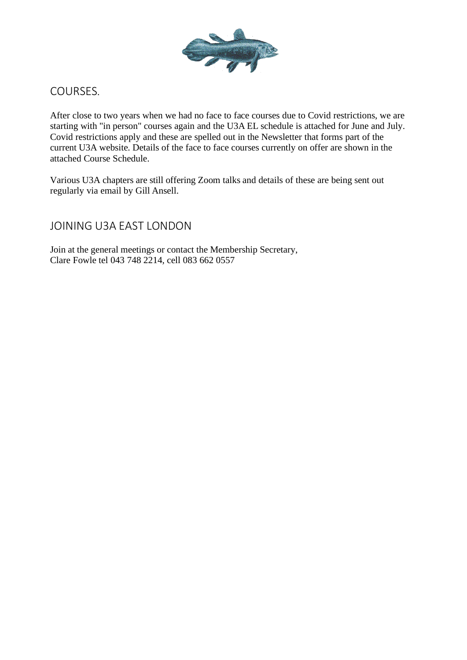

## COURSES.

After close to two years when we had no face to face courses due to Covid restrictions, we are starting with "in person" courses again and the U3A EL schedule is attached for June and July. Covid restrictions apply and these are spelled out in the Newsletter that forms part of the current U3A website. Details of the face to face courses currently on offer are shown in the attached Course Schedule.

Various U3A chapters are still offering Zoom talks and details of these are being sent out regularly via email by Gill Ansell.

## JOINING U3A EAST LONDON

Join at the general meetings or contact the Membership Secretary, Clare Fowle tel 043 748 2214, cell 083 662 0557